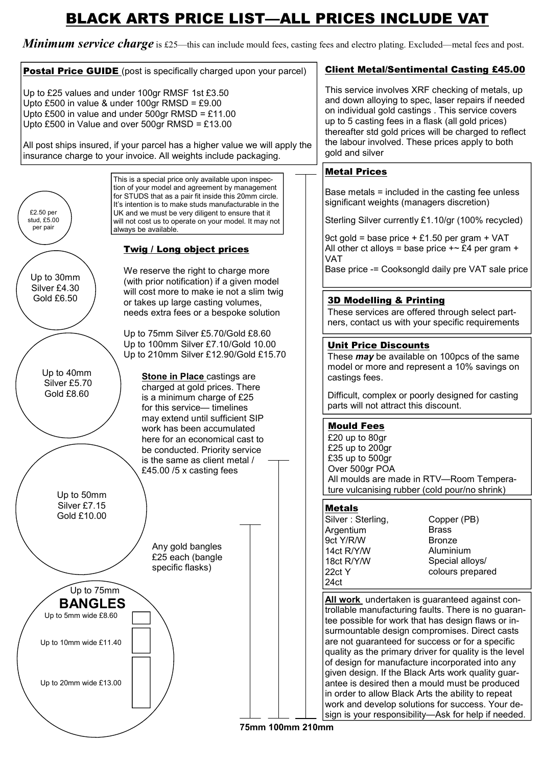## BLACK ARTS PRICE LIST—ALL PRICES INCLUDE VAT

**Minimum service charge** is £25—this can include mould fees, casting fees and electro plating. Excluded—metal fees and post.



75mm 100mm 210mm